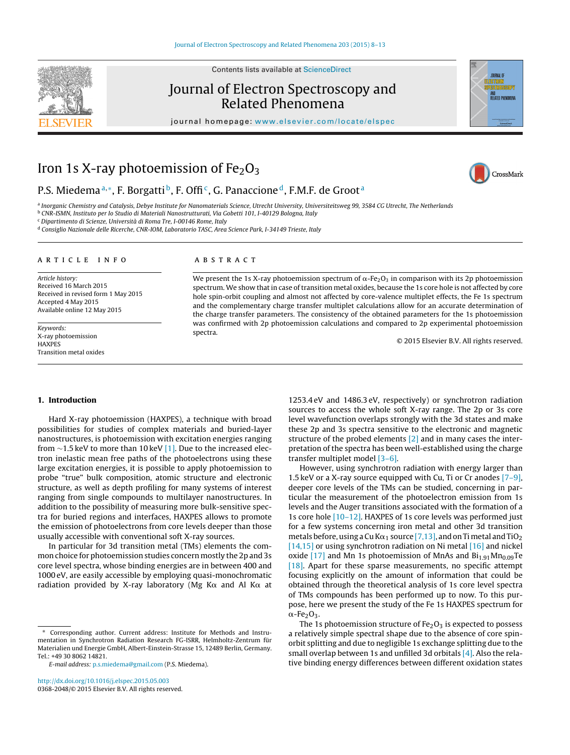Contents lists available at [ScienceDirect](http://www.sciencedirect.com/science/journal/03682048)

# Journal of Electron Spectroscopy and Related Phenomena

journal homepage: [www.elsevier.com/locate/elspec](http://www.elsevier.com/locate/elspec)

# Iron 1s X-ray photoemission of  $Fe<sub>2</sub>O<sub>3</sub>$

## P.S. Miedema<sup>a,∗</sup>, F. Borgatti<sup>b</sup>, F. Offi<sup>c</sup>, G. Panaccione<sup>d</sup>, F.M.F. de Groot<sup>a</sup>

a Inorganic Chemistry and Catalysis, Debye Institute for Nanomaterials Science, Utrecht University, Universiteitsweg 99, 3584 CG Utrecht, The Netherlands

<sup>b</sup> CNR-ISMN, Instituto per Io Studio di Materiali Nanostrutturati, Via Gobetti 101, I-40129 Bologna, Italy <sup>c</sup> Dipartimento di Scienze, Università di Roma Tre, I-00146 Rome, Italy

<sup>d</sup> Consiglio Nazionale delle Ricerche, CNR-IOM, Laboratorio TASC, Area Science Park, I-34149 Trieste, Italy

### a r t i c l e i n f o

Article history: Received 16 March 2015 Received in revised form 1 May 2015 Accepted 4 May 2015 Available online 12 May 2015

Keywords: X-ray photoemission **HAXPES** Transition metal oxides

#### A B S T R A C T

We present the 1s X-ray photoemission spectrum of  $\alpha$ -Fe $_2$ O $_3$  in comparison with its 2p photoemission spectrum. We show that in case of transition metal oxides, because the 1s core hole is not affected by core hole spin-orbit coupling and almost not affected by core-valence multiplet effects, the Fe 1s spectrum and the complementary charge transfer multiplet calculations allow for an accurate determination of the charge transfer parameters. The consistency of the obtained parameters for the 1s photoemission was confirmed with 2p photoemission calculations and compared to 2p experimental photoemission spectra.

© 2015 Elsevier B.V. All rights reserved.

## **1. Introduction**

Hard X-ray photoemission (HAXPES), a technique with broad possibilities for studies of complex materials and buried-layer nanostructures, is photoemission with excitation energies ranging from ∼1.5 keV to more than 10 keV [\[1\].](#page-4-0) Due to the increased electron inelastic mean free paths of the photoelectrons using these large excitation energies, it is possible to apply photoemission to probe "true" bulk composition, atomic structure and electronic structure, as well as depth profiling for many systems of interest ranging from single compounds to multilayer nanostructures. In addition to the possibility of measuring more bulk-sensitive spectra for buried regions and interfaces, HAXPES allows to promote the emission of photoelectrons from core levels deeper than those usually accessible with conventional soft X-ray sources.

In particular for 3d transition metal (TMs) elements the common choice for photoemission studies concern mostly the 2p and 3s core level spectra, whose binding energies are in between 400 and 1000 eV, are easily accessible by employing quasi-monochromatic radiation provided by X-ray laboratory (Mg K $\alpha$  and Al K $\alpha$  at

Corresponding author. Current address: Institute for Methods and Instrumentation in Synchrotron Radiation Research FG-ISRR, Helmholtz-Zentrum für Materialien und Energie GmbH, Albert-Einstein-Strasse 15, 12489 Berlin, Germany. Tel.: +49 30 8062 14821.

[http://dx.doi.org/10.1016/j.elspec.2015.05.003](dx.doi.org/10.1016/j.elspec.2015.05.003) 0368-2048/© 2015 Elsevier B.V. All rights reserved. 1253.4 eV and 1486.3 eV, respectively) or synchrotron radiation sources to access the whole soft X-ray range. The 2p or 3s core level wavefunction overlaps strongly with the 3d states and make these 2p and 3s spectra sensitive to the electronic and magnetic structure of the probed elements  $[2]$  and in many cases the interpretation of the spectra has been well-established using the charge transfer multiplet model [\[3–6\].](#page-4-0)

However, using synchrotron radiation with energy larger than 1.5 keV or a X-ray source equipped with Cu, Ti or Cr anodes  $[7-9]$ , deeper core levels of the TMs can be studied, concerning in particular the measurement of the photoelectron emission from 1s levels and the Auger transitions associated with the formation of a 1s core hole [\[10–12\].](#page-4-0) HAXPES of 1s core levels was performed just for a few systems concerning iron metal and other 3d transition metals before, using a Cu K $\alpha_1$  source [\[7,13\],](#page-4-0) and on Ti metal and TiO $_2$ [\[14,15\]](#page-5-0) or using synchrotron radiation on Ni metal [\[16\]](#page-5-0) and nickel oxide  $[17]$  and Mn 1s photoemission of MnAs and  $Bi_{1.91}Mn_{0.09}Te$ [\[18\].](#page-5-0) Apart for these sparse measurements, no specific attempt focusing explicitly on the amount of information that could be obtained through the theoretical analysis of 1s core level spectra of TMs compounds has been performed up to now. To this purpose, here we present the study of the Fe 1s HAXPES spectrum for  $\alpha$ -Fe $_2$ O<sub>3</sub>.

The 1s photoemission structure of  $Fe<sub>2</sub>O<sub>3</sub>$  is expected to possess a relatively simple spectral shape due to the absence of core spinorbit splitting and due to negligible 1s exchange splitting due to the small overlap between 1s and unfilled 3d orbitals  $[4]$ . Also the relative binding energy differences between different oxidation states





CrossMark

JOURNAL O

E-mail address: [p.s.miedema@gmail.com](mailto:p.s.miedema@gmail.com) (P.S. Miedema).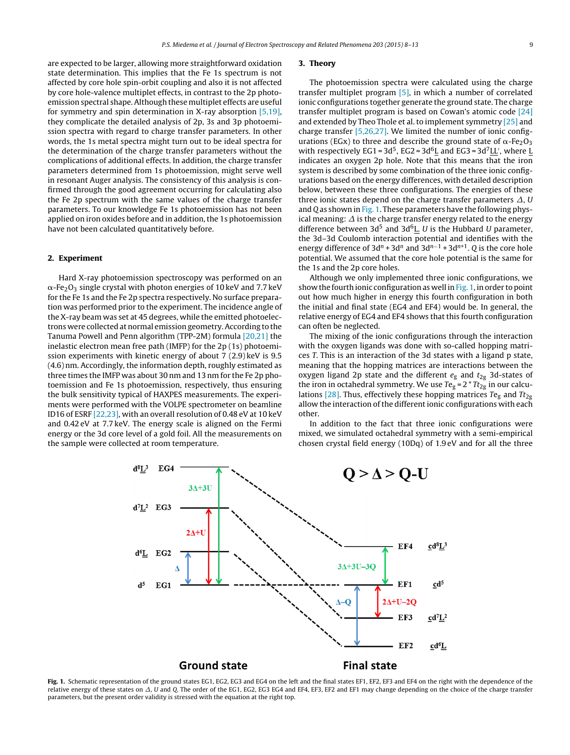are expected to be larger, allowing more straightforward oxidation state determination. This implies that the Fe 1s spectrum is not affected by core hole spin-orbit coupling and also it is not affected by core hole-valence multiplet effects, in contrast to the 2p photoemission spectral shape. Although these multiplet effects are useful for symmetry and spin determination in X-ray absorption [\[5,19\],](#page-4-0) they complicate the detailed analysis of 2p, 3s and 3p photoemission spectra with regard to charge transfer parameters. In other words, the 1s metal spectra might turn out to be ideal spectra for the determination of the charge transfer parameters without the complications of additional effects. In addition, the charge transfer parameters determined from 1s photoemission, might serve well in resonant Auger analysis. The consistency of this analysis is confirmed through the good agreement occurring for calculating also the Fe 2p spectrum with the same values of the charge transfer parameters. To our knowledge Fe 1s photoemission has not been applied on iron oxides before and in addition, the 1s photoemission have not been calculated quantitatively before.

#### **2. Experiment**

Hard X-ray photoemission spectroscopy was performed on an  $\alpha$ -Fe $_{2}$ O $_{3}$  single crystal with photon energies of 10 keV and 7.7 keV for the Fe 1s and the Fe 2p spectra respectively. No surface preparation was performed prior to the experiment. The incidence angle of the X-ray beam was set at 45 degrees, while the emitted photoelectrons were collected at normal emission geometry.According to the Tanuma Powell and Penn algorithm (TPP-2M) formula [\[20,21\]](#page-5-0) the inelastic electron mean free path (IMFP) for the 2p (1s) photoemission experiments with kinetic energy of about 7 (2.9) keV is 9.5 (4.6) nm. Accordingly, the information depth, roughly estimated as three times the IMFP was about 30 nm and 13 nm for the Fe 2p photoemission and Fe 1s photoemission, respectively, thus ensuring the bulk sensitivity typical of HAXPES measurements. The experiments were performed with the VOLPE spectrometer on beamline ID16 of ESRF [\[22,23\],](#page-5-0) with an overall resolution of 0.48 eV at 10 keV and 0.42 eV at 7.7 keV. The energy scale is aligned on the Fermi energy or the 3d core level of a gold foil. All the measurements on the sample were collected at room temperature.

#### **3. Theory**

The photoemission spectra were calculated using the charge transfer multiplet program [\[5\],](#page-4-0) in which a number of correlated ionic configurations together generate the ground state. The charge transfer multiplet program is based on Cowan's atomic code [\[24\]](#page-5-0) and extended by Theo Thole et al. to implement symmetry [\[25\]](#page-5-0) and charge transfer [\[5,26,27\].](#page-4-0) We limited the number of ionic configurations (EGx) to three and describe the ground state of  $\alpha$ -Fe<sub>2</sub>O<sub>3</sub> with respectively EG1 =  $3d^5$ , EG2 =  $3d^6$ L and EG3 =  $3d^7$ LL', where L indicates an oxygen 2p hole. Note that this means that the iron system is described by some combination of the three ionic configurations based on the energy differences, with detailed description below, between these three configurations. The energies of these three ionic states depend on the charge transfer parameters  $\varDelta$ , U and Q as shown in Fig. 1. These parameters have the following physical meaning:  $\varDelta$  is the charge transfer energy related to the energy difference between 3d<sup>5</sup> and 3d<sup>6</sup>L. U is the Hubbard U parameter, the 3d–3d Coulomb interaction potential and identifies with the energy difference of 3d<sup>n</sup> + 3d<sup>n</sup> and 3d<sup>n-1</sup> + 3d<sup>n+1</sup>. Q is the core hole potential. We assumed that the core hole potential is the same for the 1s and the 2p core holes.

Although we only implemented three ionic configurations, we show the fourth ionic configuration as well in Fig. 1, in order to point out how much higher in energy this fourth configuration in both the initial and final state (EG4 and EF4) would be. In general, the relative energy of EG4 and EF4 shows that this fourth configuration can often be neglected.

The mixing of the ionic configurations through the interaction with the oxygen ligands was done with so-called hopping matrices T. This is an interaction of the 3d states with a ligand p state, meaning that the hopping matrices are interactions between the oxygen ligand 2p state and the different  $e_{\rm g}$  and  $t_{\rm 2g}$  3d-states of the iron in octahedral symmetry. We use  $Te<sub>g</sub> = 2 * Tt<sub>2g</sub>$  in our calcu-lations [\[28\].](#page-5-0) Thus, effectively these hopping matrices Te<sub>g</sub> and Tt<sub>2g</sub> allow the interaction of the different ionic configurations with each other.

In addition to the fact that three ionic configurations were mixed, we simulated octahedral symmetry with a semi-empirical chosen crystal field energy (10Dq) of 1.9 eV and for all the three



**Fig. 1.** Schematic representation of the ground states EG1, EG2, EG3 and EG4 on the left and the final states EF1, EF2, EF3 and EF4 on the right with the dependence of the relative energy of these states on  $\varDelta$ ,  $U$  and Q. The order of the EG1, EG2, EG3 EG4 and EF4, EF3, EF2 and EF1 may change depending on the choice of the charge transfer parameters, but the present order validity is stressed with the equation at the right top.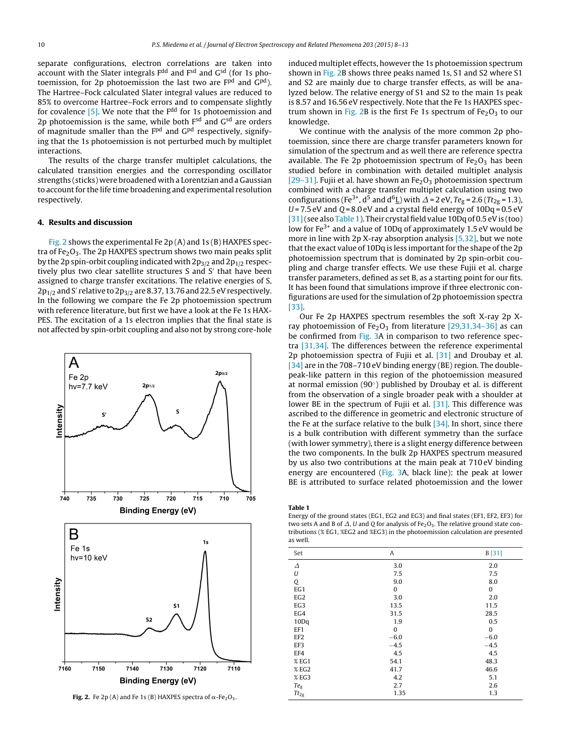<span id="page-2-0"></span>separate configurations, electron correlations are taken into account with the Slater integrals F<sup>dd</sup> and F<sup>sd</sup> and G<sup>sd</sup> (for 1s photoemission, for 2p photoemission the last two are F<sup>pd</sup> and G<sup>pd</sup>). The Hartree–Fock calculated Slater integral values are reduced to 85% to overcome Hartree–Fock errors and to compensate slightly for covalence  $[5]$ . We note that the  $F<sup>dd</sup>$  for 1s photoemission and 2p photoemission is the same, while both  $F<sup>sd</sup>$  and  $G<sup>sd</sup>$  are orders of magnitude smaller than the  $F<sup>pd</sup>$  and  $G<sup>pd</sup>$  respectively, signifying that the 1s photoemission is not perturbed much by multiplet interactions.

The results of the charge transfer multiplet calculations, the calculated transition energies and the corresponding oscillator strengths (sticks) were broadened with a Lorentzian and a Gaussian to account for the life time broadening and experimental resolution respectively.

#### **4. Results and discussion**

Fig. 2 shows the experimental Fe 2p (A) and 1s (B) HAXPES spectra of  $Fe<sub>2</sub>O<sub>3</sub>$ . The 2p HAXPES spectrum shows two main peaks split by the 2p spin-orbit coupling indicated with  $2p_{3/2}$  and  $2p_{1/2}$  respectively plus two clear satellite structures S and S' that have been assigned to charge transfer excitations. The relative energies of S,  $2p_{1/2}$  and S' relative to  $2p_{3/2}$  are 8.37, 13.76 and 22.5 eV respectively. In the following we compare the Fe 2p photoemission spectrum with reference literature, but first we have a look at the Fe 1s HAX-PES. The excitation of a 1s electron implies that the final state is not affected by spin-orbit coupling and also not by strong core-hole



**Fig. 2.** Fe 2p (A) and Fe 1s (B) HAXPES spectra of  $\alpha$ -Fe<sub>2</sub>O<sub>3</sub>.

induced multiplet effects, however the 1s photoemission spectrum shown in Fig. 2B shows three peaks named 1s, S1 and S2 where S1 and S2 are mainly due to charge transfer effects, as will be analyzed below. The relative energy of S1 and S2 to the main 1s peak is 8.57 and 16.56 eV respectively. Note that the Fe 1s HAXPES spectrum shown in Fig. 2B is the first Fe 1s spectrum of  $Fe<sub>2</sub>O<sub>3</sub>$  to our knowledge.

We continue with the analysis of the more common 2p photoemission, since there are charge transfer parameters known for simulation of the spectrum and as well there are reference spectra available. The Fe 2p photoemission spectrum of  $Fe<sub>2</sub>O<sub>3</sub>$  has been studied before in combination with detailed multiplet analysis [\[29–31\].](#page-5-0) Fujii et al. have shown an  $Fe<sub>2</sub>O<sub>3</sub>$  photoemission spectrum combined with a charge transfer multiplet calculation using two configurations (Fe<sup>3+</sup>, d<sup>5</sup> and d<sup>6</sup>L) with  $\Delta$  = 2 eV, Te<sub>g</sub> = 2.6 (Tt<sub>2g</sub> = 1.3),  $U = 7.5$  eV and  $Q = 8.0$  eV and a crystal field energy of  $10Dq = 0.5$  eV [31] (see also Table 1). Their crystal field value 10Dq of 0.5 eV is (too) low for Fe<sup>3+</sup> and a value of 10Dq of approximately 1.5 eV would be more in line with 2p X-ray absorption analysis [\[5,32\],](#page-4-0) but we note that the exact value of 10Dq is less important for the shape of the 2p photoemission spectrum that is dominated by 2p spin-orbit coupling and charge transfer effects. We use these Fujii et al. charge transfer parameters, defined as set B, as a starting point for our fits. It has been found that simulations improve if three electronic configurations are used for the simulation of 2p photoemission spectra [\[33\].](#page-5-0)

Our Fe 2p HAXPES spectrum resembles the soft X-ray 2p Xray photoemission of Fe<sub>2</sub>O<sub>3</sub> from literature [29,31,34-36] as can be confirmed from [Fig.](#page-3-0) 3A in comparison to two reference spectra [\[31,34\].](#page-5-0) The differences between the reference experimental 2p photoemission spectra of Fujii et al. [\[31\]](#page-5-0) and Droubay et al. [\[34\]](#page-5-0) are in the 708-710 eV binding energy (BE) region. The doublepeak-like pattern in this region of the photoemission measured at normal emission (90 $\degree$ ) published by Droubay et al. is different from the observation of a single broader peak with a shoulder at lower BE in the spectrum of Fujii et al. [\[31\].](#page-5-0) This difference was ascribed to the difference in geometric and electronic structure of the Fe at the surface relative to the bulk  $[34]$ . In short, since there is a bulk contribution with different symmetry than the surface (with lower symmetry), there is a slight energy difference between the two components. In the bulk 2p HAXPES spectrum measured by us also two contributions at the main peak at 710 eV binding energy are encountered ([Fig.](#page-3-0) 3A, black line): the peak at lower BE is attributed to surface related photoemission and the lower

Energy of the ground states (EG1, EG2 and EG3) and final states (EF1, EF2, EF3) for two sets A and B of  $\Delta$ , U and Q for analysis of Fe<sub>2</sub>O<sub>3</sub>. The relative ground state contributions (% EG1, %EG2 and %EG3) in the photoemission calculation are presented as well.

| Set             | Α      | B[31]  |
|-----------------|--------|--------|
| Δ               | 3.0    | 2.0    |
| U               | 7.5    | 7.5    |
| Q               | 9.0    | 8.0    |
| EG1             | 0      | 0      |
| EG <sub>2</sub> | 3.0    | 2.0    |
| EG3             | 13.5   | 11.5   |
| EG4             | 31.5   | 28.5   |
| 10Dq            | 1.9    | 0.5    |
| EF1             | 0      | 0      |
| EF <sub>2</sub> | $-6.0$ | $-6.0$ |
| EF3             | $-4.5$ | $-4.5$ |
| EF4             | 4.5    | 4.5    |
| % EG1           | 54.1   | 48.3   |
| % EG2           | 41.7   | 46.6   |
| % EG3           | 4.2    | 5.1    |
| Teg             | 2.7    | 2.6    |
| $Tt_{\rm 2g}$   | 1.35   | 1.3    |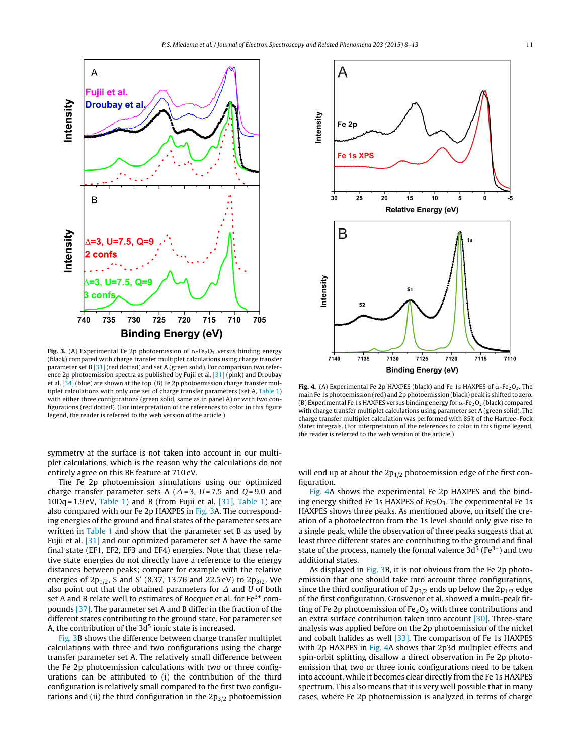<span id="page-3-0"></span>

**Fig. 3.** (A) Experimental Fe 2p photoemission of  $\alpha$ -Fe<sub>2</sub>O<sub>3</sub> versus binding energy (black) compared with charge transfer multiplet calculations using charge transfer parameter set B [\[31\]](#page-5-0) (red dotted) and set A (green solid). For comparison two reference 2p photoemission spectra as published by Fujii et al. [\[31\]](#page-5-0) (pink) and Droubay et al. [\[34\]](#page-5-0) (blue) are shown at the top. (B) Fe 2p photoemission charge transfer multiplet calculations with only one set of charge transfer parameters (set A, [Table](#page-2-0) 1) with either three configurations (green solid, same as in panel A) or with two configurations (red dotted). (For interpretation of the references to color in this figure legend, the reader is referred to the web version of the article.)

symmetry at the surface is not taken into account in our multiplet calculations, which is the reason why the calculations do not entirely agree on this BE feature at 710 eV.

The Fe 2p photoemission simulations using our optimized charge transfer parameter sets A ( $\varDelta$ =3, U=7.5 and Q=9.0 and  $10Dq = 1.9$  eV, [Table](#page-2-0) 1) and B (from Fujii et al. [\[31\],](#page-5-0) Table 1) are also compared with our Fe 2p HAXPES in Fig. 3A. The corresponding energies of the ground and final states of the parameter sets are written in [Table](#page-2-0) 1 and show that the parameter set B as used by Fujii et al. [\[31\]](#page-5-0) and our optimized parameter set A have the same final state (EF1, EF2, EF3 and EF4) energies. Note that these relative state energies do not directly have a reference to the energy distances between peaks; compare for example with the relative energies of  $2p_{1/2}$ , S and S' (8.37, 13.76 and 22.5 eV) to  $2p_{3/2}$ . We also point out that the obtained parameters for  $\varDelta$  and U of both set A and B relate well to estimates of Bocquet et al. for  $Fe<sup>3+</sup>$  compounds [\[37\].](#page-5-0) The parameter set A and B differ in the fraction of the different states contributing to the ground state. For parameter set A, the contribution of the  $3d<sup>5</sup>$  ionic state is increased.

Fig. 3B shows the difference between charge transfer multiplet calculations with three and two configurations using the charge transfer parameter set A. The relatively small difference between the Fe 2p photoemission calculations with two or three configurations can be attributed to (i) the contribution of the third configuration is relatively small compared to the first two configurations and (ii) the third configuration in the  $2p_{3/2}$  photoemission



**Fig. 4.** (A) Experimental Fe 2p HAXPES (black) and Fe 1s HAXPES of  $\alpha$ -Fe<sub>2</sub>O<sub>3</sub>. The main Fe 1s photoemission (red) and 2p photoemission (black) peak is shifted to zero. (B) Experimental Fe 1s HAXPES versus binding energy for  $\alpha$ -Fe<sub>2</sub>O<sub>3</sub> (black) compared with charge transfer multiplet calculations using parameter set A (green solid). The charge transfer multiplet calculation was performed with 85% of the Hartree–Fock Slater integrals. (For interpretation of the references to color in this figure legend, the reader is referred to the web version of the article.)

will end up at about the  $2p_{1/2}$  photoemission edge of the first configuration.

Fig. 4A shows the experimental Fe 2p HAXPES and the binding energy shifted Fe 1s HAXPES of  $Fe<sub>2</sub>O<sub>3</sub>$ . The experimental Fe 1s HAXPES shows three peaks. As mentioned above, on itself the creation of a photoelectron from the 1s level should only give rise to a single peak, while the observation of three peaks suggests that at least three different states are contributing to the ground and final state of the process, namely the formal valence  $3d^5$  (Fe<sup>3+</sup>) and two additional states.

As displayed in Fig. 3B, it is not obvious from the Fe 2p photoemission that one should take into account three configurations, since the third configuration of  $2p_{3/2}$  ends up below the  $2p_{1/2}$  edge of the first configuration. Grosvenor et al. showed a multi-peak fitting of Fe 2p photoemission of  $Fe<sub>2</sub>O<sub>3</sub>$  with three contributions and an extra surface contribution taken into account [\[30\].](#page-5-0) Three-state analysis was applied before on the 2p photoemission of the nickel and cobalt halides as well [\[33\].](#page-5-0) The comparison of Fe 1s HAXPES with 2p HAXPES in Fig. 4A shows that 2p3d multiplet effects and spin-orbit splitting disallow a direct observation in Fe 2p photoemission that two or three ionic configurations need to be taken into account, while it becomes clear directly from the Fe 1s HAXPES spectrum. This also means that it is very well possible that in many cases, where Fe 2p photoemission is analyzed in terms of charge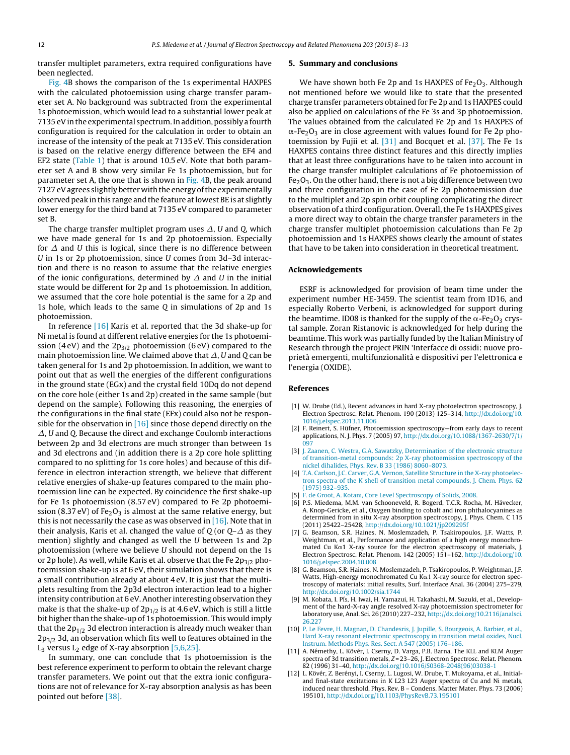<span id="page-4-0"></span>transfer multiplet parameters, extra required configurations have been neglected.

[Fig.](#page-3-0) 4B shows the comparison of the 1s experimental HAXPES with the calculated photoemission using charge transfer parameter set A. No background was subtracted from the experimental 1s photoemission, which would lead to a substantial lower peak at 7135 eV in the experimental spectrum. In addition, possibly a fourth configuration is required for the calculation in order to obtain an increase of the intensity of the peak at 7135 eV. This consideration is based on the relative energy difference between the EF4 and EF2 state ([Table](#page-2-0) 1) that is around 10.5 eV. Note that both parameter set A and B show very similar Fe 1s photoemission, but for parameter set A, the one that is shown in [Fig.](#page-3-0) 4B, the peak around 7127 eV agrees slightly better with the energy of the experimentally observed peak in this range and the feature atlowest BE is at slightly lower energy for the third band at 7135 eV compared to parameter set B.

The charge transfer multiplet program uses  $\varDelta$ ,  $U$  and  $Q$ , which we have made general for 1s and 2p photoemission. Especially for  $\varDelta$  and  $U$  this is logical, since there is no difference between U in 1s or 2p photoemission, since U comes from 3d–3d interaction and there is no reason to assume that the relative energies of the ionic configurations, determined by  $\varDelta$  and  $U$  in the initial state would be different for 2p and 1s photoemission. In addition, we assumed that the core hole potential is the same for a 2p and 1s hole, which leads to the same Q in simulations of 2p and 1s photoemission.

In reference [\[16\]](#page-5-0) Karis et al. reported that the 3d shake-up for Ni metal is found at different relative energies for the 1s photoemission (4 eV) and the  $2p_{3/2}$  photoemission (6 eV) compared to the main photoemission line. We claimed above that  $\varDelta$ ,  $U$  and Q can be taken general for 1s and 2p photoemission. In addition, we want to point out that as well the energies of the different configurations in the ground state (EGx) and the crystal field 10Dq do not depend on the core hole (either 1s and 2p) created in the same sample (but depend on the sample). Following this reasoning, the energies of the configurations in the final state (EFx) could also not be responsible for the observation in  $[16]$  since those depend directly on the  $\varDelta$ ,  $U$  and Q. Because the direct and exchange Coulomb interactions between 2p and 3d electrons are much stronger than between 1s and 3d electrons and (in addition there is a 2p core hole splitting compared to no splitting for 1s core holes) and because of this difference in electron interaction strength, we believe that different relative energies of shake-up features compared to the main photoemission line can be expected. By coincidence the first shake-up for Fe 1s photoemission (8.57 eV) compared to Fe 2p photoemission (8.37 eV) of Fe<sub>2</sub>O<sub>3</sub> is almost at the same relative energy, but this is not necessarily the case as was observed in  $[16]$ . Note that in their analysis, Karis et al. changed the value of Q (or Q– $\varDelta$  as they mention) slightly and changed as well the U between 1s and 2p photoemission (where we believe U should not depend on the 1s or 2p hole). As well, while Karis et al. observe that the Fe  $2p_{3/2}$  photoemission shake-up is at 6 eV, their simulation shows that there is a small contribution already at about 4 eV. It is just that the multiplets resulting from the 2p3d electron interaction lead to a higher intensity contribution at 6 eV. Another interesting observation they make is that the shake-up of  $2p_{1/2}$  is at 4.6 eV, which is still a little bit higher than the shake-up of 1s photoemission. This would imply that the  $2p_{1/2}$  3d electron interaction is already much weaker than  $2p_{3/2}$  3d, an observation which fits well to features obtained in the  $L_3$  versus  $L_2$  edge of X-ray absorption [5,6,25].

In summary, one can conclude that 1s photoemission is the best reference experiment to perform to obtain the relevant charge transfer parameters. We point out that the extra ionic configurations are not of relevance for X-ray absorption analysis as has been pointed out before [\[38\].](#page-5-0)

#### **5. Summary and conclusions**

We have shown both Fe 2p and 1s HAXPES of  $Fe<sub>2</sub>O<sub>3</sub>$ . Although not mentioned before we would like to state that the presented charge transfer parameters obtained for Fe 2p and 1s HAXPES could also be applied on calculations of the Fe 3s and 3p photoemission. The values obtained from the calculated Fe 2p and 1s HAXPES of  $\alpha$ -Fe $_{2}$ O $_{3}$  are in close agreement with values found for Fe 2p photoemission by Fujii et al. [\[31\]](#page-5-0) and Bocquet et al. [\[37\].](#page-5-0) The Fe 1s HAXPES contains three distinct features and this directly implies that at least three configurations have to be taken into account in the charge transfer multiplet calculations of Fe photoemission of  $Fe<sub>2</sub>O<sub>3</sub>$ . On the other hand, there is not a big difference between two and three configuration in the case of Fe 2p photoemission due to the multiplet and 2p spin orbit coupling complicating the direct observation of a third configuration. Overall, the Fe 1s HAXPES gives a more direct way to obtain the charge transfer parameters in the charge transfer multiplet photoemission calculations than Fe 2p photoemission and 1s HAXPES shows clearly the amount of states that have to be taken into consideration in theoretical treatment.

#### **Acknowledgements**

ESRF is acknowledged for provision of beam time under the experiment number HE-3459. The scientist team from ID16, and especially Roberto Verbeni, is acknowledged for support during the beamtime. ID08 is thanked for the supply of the  $\alpha$ -Fe $_2$ O<sub>3</sub> crystal sample. Zoran Ristanovic is acknowledged for help during the beamtime. This work was partially funded by the Italian Ministry of Research through the project PRIN 'Interfacce di ossidi: nuove proprietà emergenti, multifunzionalità e dispositivi per l'elettronica e l'energia (OXIDE).

#### **References**

- [1] W. Drube (Ed.), Recent advances in hard X-ray photoelectron spectroscopy, J. Electron Spectrosc. Relat. Phenom. 190 (2013) 125–314, [http://dx.doi.org/10.](dx.doi.org/10.1016/j.elspec.2013.11.006) [1016/j.elspec.2013.11.006](dx.doi.org/10.1016/j.elspec.2013.11.006)
- [2] F. Reinert, S. Hüfner, Photoemission spectroscopy—from early days to recent applications, N. J. Phys. 7 (2005) 97, [http://dx.doi.org/10.1088/1367-2630/7/1/](dx.doi.org/10.1088/1367-2630/7/1/097) [097](dx.doi.org/10.1088/1367-2630/7/1/097)
- [3] [J.](http://refhub.elsevier.com/S0368-2048(15)00098-5/sbref0205) [Zaanen,](http://refhub.elsevier.com/S0368-2048(15)00098-5/sbref0205) [C.](http://refhub.elsevier.com/S0368-2048(15)00098-5/sbref0205) [Westra,](http://refhub.elsevier.com/S0368-2048(15)00098-5/sbref0205) [G.A.](http://refhub.elsevier.com/S0368-2048(15)00098-5/sbref0205) [Sawatzky,](http://refhub.elsevier.com/S0368-2048(15)00098-5/sbref0205) [Determination](http://refhub.elsevier.com/S0368-2048(15)00098-5/sbref0205) [of](http://refhub.elsevier.com/S0368-2048(15)00098-5/sbref0205) [the](http://refhub.elsevier.com/S0368-2048(15)00098-5/sbref0205) [electronic](http://refhub.elsevier.com/S0368-2048(15)00098-5/sbref0205) [structure](http://refhub.elsevier.com/S0368-2048(15)00098-5/sbref0205) [of](http://refhub.elsevier.com/S0368-2048(15)00098-5/sbref0205) [transition-metal](http://refhub.elsevier.com/S0368-2048(15)00098-5/sbref0205) [compounds:](http://refhub.elsevier.com/S0368-2048(15)00098-5/sbref0205) [2p](http://refhub.elsevier.com/S0368-2048(15)00098-5/sbref0205) [X-ray](http://refhub.elsevier.com/S0368-2048(15)00098-5/sbref0205) [photoemission](http://refhub.elsevier.com/S0368-2048(15)00098-5/sbref0205) [spectroscopy](http://refhub.elsevier.com/S0368-2048(15)00098-5/sbref0205) [of](http://refhub.elsevier.com/S0368-2048(15)00098-5/sbref0205) [the](http://refhub.elsevier.com/S0368-2048(15)00098-5/sbref0205) [nickel](http://refhub.elsevier.com/S0368-2048(15)00098-5/sbref0205) [dihalides,](http://refhub.elsevier.com/S0368-2048(15)00098-5/sbref0205) [Phys.](http://refhub.elsevier.com/S0368-2048(15)00098-5/sbref0205) [Rev.](http://refhub.elsevier.com/S0368-2048(15)00098-5/sbref0205) [B](http://refhub.elsevier.com/S0368-2048(15)00098-5/sbref0205) [33](http://refhub.elsevier.com/S0368-2048(15)00098-5/sbref0205) [\(1986\)](http://refhub.elsevier.com/S0368-2048(15)00098-5/sbref0205) [8060–8073.](http://refhub.elsevier.com/S0368-2048(15)00098-5/sbref0205)
- [4] [T.A.](http://refhub.elsevier.com/S0368-2048(15)00098-5/sbref0210) [Carlson,](http://refhub.elsevier.com/S0368-2048(15)00098-5/sbref0210) [J.C.](http://refhub.elsevier.com/S0368-2048(15)00098-5/sbref0210) [Carver,](http://refhub.elsevier.com/S0368-2048(15)00098-5/sbref0210) [G.A.](http://refhub.elsevier.com/S0368-2048(15)00098-5/sbref0210) [Vernon,](http://refhub.elsevier.com/S0368-2048(15)00098-5/sbref0210) [Satellite](http://refhub.elsevier.com/S0368-2048(15)00098-5/sbref0210) [Structure](http://refhub.elsevier.com/S0368-2048(15)00098-5/sbref0210) [in](http://refhub.elsevier.com/S0368-2048(15)00098-5/sbref0210) [the](http://refhub.elsevier.com/S0368-2048(15)00098-5/sbref0210) [X-ray](http://refhub.elsevier.com/S0368-2048(15)00098-5/sbref0210) [photoelec](http://refhub.elsevier.com/S0368-2048(15)00098-5/sbref0210)[tron](http://refhub.elsevier.com/S0368-2048(15)00098-5/sbref0210) [spectra](http://refhub.elsevier.com/S0368-2048(15)00098-5/sbref0210) [of](http://refhub.elsevier.com/S0368-2048(15)00098-5/sbref0210) [the](http://refhub.elsevier.com/S0368-2048(15)00098-5/sbref0210) [K](http://refhub.elsevier.com/S0368-2048(15)00098-5/sbref0210) [shell](http://refhub.elsevier.com/S0368-2048(15)00098-5/sbref0210) [of](http://refhub.elsevier.com/S0368-2048(15)00098-5/sbref0210) [transition](http://refhub.elsevier.com/S0368-2048(15)00098-5/sbref0210) [metal](http://refhub.elsevier.com/S0368-2048(15)00098-5/sbref0210) [compounds,](http://refhub.elsevier.com/S0368-2048(15)00098-5/sbref0210) [J.](http://refhub.elsevier.com/S0368-2048(15)00098-5/sbref0210) [Chem.](http://refhub.elsevier.com/S0368-2048(15)00098-5/sbref0210) [Phys.](http://refhub.elsevier.com/S0368-2048(15)00098-5/sbref0210) [62](http://refhub.elsevier.com/S0368-2048(15)00098-5/sbref0210) [\(1975\)](http://refhub.elsevier.com/S0368-2048(15)00098-5/sbref0210) [932–935.](http://refhub.elsevier.com/S0368-2048(15)00098-5/sbref0210)
- [F.](http://refhub.elsevier.com/S0368-2048(15)00098-5/sbref0215) [de](http://refhub.elsevier.com/S0368-2048(15)00098-5/sbref0215) [Groot,](http://refhub.elsevier.com/S0368-2048(15)00098-5/sbref0215) [A.](http://refhub.elsevier.com/S0368-2048(15)00098-5/sbref0215) [Kotani,](http://refhub.elsevier.com/S0368-2048(15)00098-5/sbref0215) [Core](http://refhub.elsevier.com/S0368-2048(15)00098-5/sbref0215) [Level](http://refhub.elsevier.com/S0368-2048(15)00098-5/sbref0215) [Spectroscopy](http://refhub.elsevier.com/S0368-2048(15)00098-5/sbref0215) [of](http://refhub.elsevier.com/S0368-2048(15)00098-5/sbref0215) [Solids,](http://refhub.elsevier.com/S0368-2048(15)00098-5/sbref0215) [2008.](http://refhub.elsevier.com/S0368-2048(15)00098-5/sbref0215)
- [6] P.S. Miedema, M.M. van Schooneveld, R. Bogerd, T.C.R. Rocha, M. Hävecker, A. Knop-Gericke, et al., Oxygen binding to cobalt and iron phthalocyanines as determined from in situ X-ray absorption spectroscopy, J. Phys. Chem. C 115 (2011) 25422–25428, [http://dx.doi.org/10.1021/jp209295f](dx.doi.org/10.1021/jp209295f)
- [7] G. Beamson, S.R. Haines, N. Moslemzadeh, P. Tsakiropoulos, J.F. Watts, P. Weightman, et al., Performance and application of a high energy monochro $m$ ated Cu K $\alpha$ 1 X-ray source for the electron spectroscopy of materials, J. Electron Spectrosc. Relat. Phenom. 142 (2005) 151–162, [http://dx.doi.org/10.](dx.doi.org/10.1016/j.elspec.2004.10.008) [1016/j.elspec.2004.10.008](dx.doi.org/10.1016/j.elspec.2004.10.008)
- [8] G. Beamson, S.R. Haines, N. Moslemzadeh, P. Tsakiropoulos, P. Weightman, J.F. Watts, High-energy monochromated Cu K $\alpha$ 1 X-ray source for electron spectroscopy of materials: initial results, Surf. Interface Anal. 36 (2004) 275–279, [http://dx.doi.org/10.1002/sia.1744](dx.doi.org/10.1002/sia.1744)
- [9] M. Kobata, I. Pís, H. Iwai, H. Yamazui, H. Takahashi, M. Suzuki, et al., Development of the hard-X-ray angle resolved X-ray photoemission spectrometer for laboratory use, Anal. Sci. 26 (2010) 227–232, [http://dx.doi.org/10.2116/analsci.](dx.doi.org/10.2116/analsci.26.227) [26.227](dx.doi.org/10.2116/analsci.26.227)
- [10] [P.](http://refhub.elsevier.com/S0368-2048(15)00098-5/sbref0240) [Le](http://refhub.elsevier.com/S0368-2048(15)00098-5/sbref0240) [Fevre,](http://refhub.elsevier.com/S0368-2048(15)00098-5/sbref0240) [H.](http://refhub.elsevier.com/S0368-2048(15)00098-5/sbref0240) [Magnan,](http://refhub.elsevier.com/S0368-2048(15)00098-5/sbref0240) [D.](http://refhub.elsevier.com/S0368-2048(15)00098-5/sbref0240) [Chandesris,](http://refhub.elsevier.com/S0368-2048(15)00098-5/sbref0240) [J.](http://refhub.elsevier.com/S0368-2048(15)00098-5/sbref0240) [Jupille,](http://refhub.elsevier.com/S0368-2048(15)00098-5/sbref0240) [S.](http://refhub.elsevier.com/S0368-2048(15)00098-5/sbref0240) [Bourgeois,](http://refhub.elsevier.com/S0368-2048(15)00098-5/sbref0240) [A.](http://refhub.elsevier.com/S0368-2048(15)00098-5/sbref0240) [Barbier,](http://refhub.elsevier.com/S0368-2048(15)00098-5/sbref0240) [et](http://refhub.elsevier.com/S0368-2048(15)00098-5/sbref0240) [al.,](http://refhub.elsevier.com/S0368-2048(15)00098-5/sbref0240) [Hard](http://refhub.elsevier.com/S0368-2048(15)00098-5/sbref0240) [X-ray](http://refhub.elsevier.com/S0368-2048(15)00098-5/sbref0240) [resonant](http://refhub.elsevier.com/S0368-2048(15)00098-5/sbref0240) [electronic](http://refhub.elsevier.com/S0368-2048(15)00098-5/sbref0240) [spectroscopy](http://refhub.elsevier.com/S0368-2048(15)00098-5/sbref0240) [in](http://refhub.elsevier.com/S0368-2048(15)00098-5/sbref0240) [transition](http://refhub.elsevier.com/S0368-2048(15)00098-5/sbref0240) [metal](http://refhub.elsevier.com/S0368-2048(15)00098-5/sbref0240) [oxides,](http://refhub.elsevier.com/S0368-2048(15)00098-5/sbref0240) [Nucl.](http://refhub.elsevier.com/S0368-2048(15)00098-5/sbref0240) [Instrum.](http://refhub.elsevier.com/S0368-2048(15)00098-5/sbref0240) [Methods](http://refhub.elsevier.com/S0368-2048(15)00098-5/sbref0240) [Phys.](http://refhub.elsevier.com/S0368-2048(15)00098-5/sbref0240) [Res.](http://refhub.elsevier.com/S0368-2048(15)00098-5/sbref0240) [Sect.](http://refhub.elsevier.com/S0368-2048(15)00098-5/sbref0240) [A](http://refhub.elsevier.com/S0368-2048(15)00098-5/sbref0240) [547](http://refhub.elsevier.com/S0368-2048(15)00098-5/sbref0240) [\(2005\)](http://refhub.elsevier.com/S0368-2048(15)00098-5/sbref0240) [176](http://refhub.elsevier.com/S0368-2048(15)00098-5/sbref0240)–[186.](http://refhub.elsevier.com/S0368-2048(15)00098-5/sbref0240)
- [11] A. Némethy, L. Kövér, I. Cserny, D. Varga, P.B. Barna, The KLL and KLM Auger spectra of 3d transition metals, Z = 23-26, J. Electron Spectrosc. Relat. Phenom. 82 (1996) 31–40, [http://dx.doi.org/10.1016/S0368-2048\(96\)03038-1](dx.doi.org/10.1016/S0368-2048(96)03038-1)
- [12] L. Kövér, Z. Berényi, I. Cserny, L. Lugosi, W. Drube, T. Mukoyama, et al., Initialand final-state excitations in K L23 L23 Auger spectra of Cu and Ni metals, induced near threshold, Phys, Rev. B – Condens. Matter Mater. Phys. 73 (2006) 195101, [http://dx.doi.org/10.1103/PhysRevB.73.195101](dx.doi.org/10.1103/PhysRevB.73.195101)